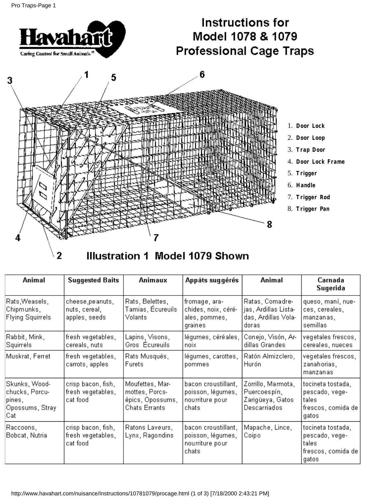

# Illustration 1 Model 1079 Shown

| Animal                                                                 | <b>Suggested Baits</b>                              | <b>Animaux</b>                                                                | Appâts suggérés                                                      | Animal                                                                  | Carnada<br>Sugerida                                                         |
|------------------------------------------------------------------------|-----------------------------------------------------|-------------------------------------------------------------------------------|----------------------------------------------------------------------|-------------------------------------------------------------------------|-----------------------------------------------------------------------------|
| Rats,Weasels,<br> Chipmunks,<br>Flying Squirrels                       | cheese,peanuts,<br>nuts, cereal,<br>apples, seeds   | Rats, Belettes,<br>Tamias, Écureuils.<br>Volants                              | fromage, ara-<br>chides, noix, céré-<br>ales, pommes,<br>graines     | Ratas, Comadre-<br>jas, Ardillas Lista-<br>das, Ardillas Vola-<br>doras | queso, maní, nue-<br>ces, cereales,<br>manzanas,<br>semillas                |
| Rabbit, Mink,<br> Squirrels                                            | fresh vegetables,<br>cereals, nuts                  | Lapins, Visons,<br>Gros Écureuils                                             | légumes, céréales,  <br>noix                                         | Conejo, Visón, Ar-<br>dillas Grandes                                    | vegetales frescos,<br>cereales, nueces                                      |
| Muskrat, Ferret                                                        | fresh vegetables,<br>carrots, apples                | Rats Musqués,<br>Furets                                                       | légumes, carottes,<br>pommes                                         | Ratón Almizclero,<br>Hurón                                              | vegetales frescos,<br>zanahorias,<br>manzanas                               |
| Skunks, Wood-<br>chucks, Porcu-<br>pines,<br> Opossums, Straγ.<br> Cat | crisp bacon, fish,<br>fresh vegetables,<br>cat food | Moufettes, Mar-<br>mottes, Porcs-<br>épics, Opossums,<br><b>Chats Errants</b> | bacon croustillant,<br>poisson, légumes,<br>nourriture pour<br>chats | Zorrillo, Marmota,<br>Puercoespín,<br>Zarigüeya, Gatos<br>Descarriados  | tocineta tostada,<br>pescado, vege-<br>tales<br>frescos, comida de<br>gatos |
| Raccoons,<br> Bobcat, Nutria                                           | crisp bacon, fish,<br>fresh vegetables,<br>cat food | Ratons Laveurs,<br>Lynx, Ragondins                                            | bacon croustillant,<br>poisson, légumes,<br>nourriture pour<br>chats | Mapache, Lince,<br>Coipo                                                | tocineta tostada,<br>pescado, vege-<br>tales<br>frescos, comida de<br>gatos |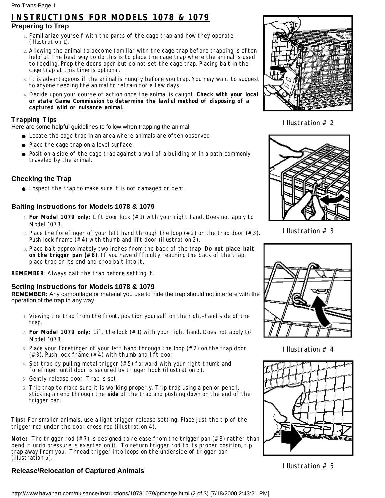## **INSTRUCTIONS FOR MODELS 1078 & 1079**

#### **Preparing to Trap**

- Familiarize yourself with the parts of the cage trap and how they operate 1. (illustration 1).
- Allowing the animal to become familiar with the cage trap before trapping is often 2. helpful. The best way to do this is to place the cage trap where the animal is used to feeding. Prop the doors open but do not set the cage trap. Placing bait in the cage trap at this time is optional.
- It is advantageous if the animal is hungry before you trap. You may want to suggest 3. to anyone feeding the animal to refrain for a few days.
- Decide upon your course of action once the animal is caught. **Check with your local** 4. **or state Game Commission to determine the lawful method of disposing of a captured wild or nuisance animal.**

#### **Trapping Tips**

Here are some helpful guidelines to follow when trapping the animal:

- Locate the cage trap in an area where animals are often observed.
- Place the cage trap on a level surface.
- Position a side of the cage trap against a wall of a building or in a path commonly traveled by the animal.

#### **Checking the Trap**

● Inspect the trap to make sure it is not damaged or bent.

#### **Baiting Instructions for Models 1078 & 1079**

- **For Model 1079 only:** Lift door lock (#1) with your right hand. Does not apply to 1. Model 1078.
- 2. Place the forefinger of your left hand through the loop  $(\#2)$  on the trap door  $(\#3)$ . Push lock frame  $(44)$  with thumb and lift door (illustration 2).
- Place bait approximately two inches from the back of the trap. **Do not place bait** 3. **on the trigger pan (#8)**. If you have difficulty reaching the back of the trap, place trap on its end and drop bait into it.

**REMEMBER**: Always bait the trap before setting it.

#### **Setting Instructions for Models 1078 & 1079**

**REMEMBER:** Any camouflage or material you use to hide the trap should not interfere with the operation of the trap in any way.

- Viewing the trap from the front, position yourself on the right-hand side of the 1. trap.
- **For Model 1079 only:** Lift the lock (#1) with your right hand. Does not apply to 2. Model 1078.
- 3. Place your forefinger of your left hand through the loop (#2) on the trap door  $(+3)$ . Push lock frame  $(+4)$  with thumb and lift door.
- Set trap by pulling metal trigger (#5) forward with your right thumb and 4. forefinger until door is secured by trigger hook (illustration 3).
- 5. Gently release door. Trap is set.
- Trip trap to make sure it is working properly. Trip trap using a pen or pencil, sticking an end through the **side** of the trap and pushing down on the end of the trigger pan. 6.

**Tips:** For smaller animals, use a light trigger release setting. Place just the tip of the trigger rod under the door cross rod (illustration 4).

**Note:** The trigger rod (#7) is designed to release from the trigger pan (#8) rather than bend if undo pressure is exerted on it. To return trigger rod to its proper position, tip trap away from you. Thread trigger into loops on the underside of trigger pan (illustration 5).

### **Release/Relocation of Captured Animals**



Illustration # 2



Illustration # 3



Illustration # 4



Illustration # 5